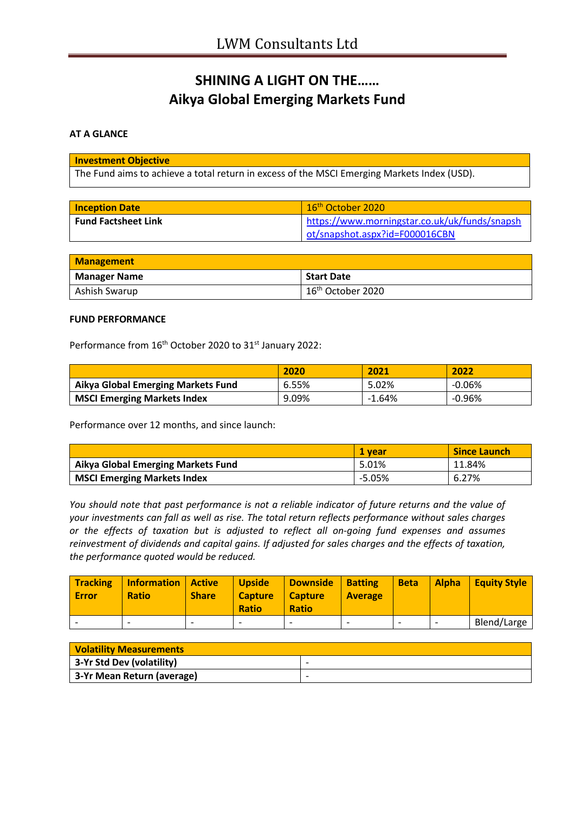# **SHINING A LIGHT ON THE…… Aikya Global Emerging Markets Fund**

### **AT A GLANCE**

#### **Investment Objective**

The Fund aims to achieve a total return in excess of the MSCI Emerging Markets Index (USD).

| <b>Inception Date</b>      | $16th$ October 2020                           |
|----------------------------|-----------------------------------------------|
| <b>Fund Factsheet Link</b> | https://www.morningstar.co.uk/uk/funds/snapsh |
|                            | ot/snapshot.aspx?id=F000016CBN                |

| <b>Management</b>   |                               |
|---------------------|-------------------------------|
| <b>Manager Name</b> | <b>Start Date</b>             |
| Ashish Swarup       | 16 <sup>th</sup> October 2020 |

#### **FUND PERFORMANCE**

Performance from 16<sup>th</sup> October 2020 to 31<sup>st</sup> January 2022:

|                                           | 2020  | 2021     | 2022   |
|-------------------------------------------|-------|----------|--------|
| <b>Aikya Global Emerging Markets Fund</b> | 6.55% | 5.02%    | -0.06% |
| <b>MSCI Emerging Markets Index</b>        | 9.09% | $-1.64%$ | -0.96% |

Performance over 12 months, and since launch:

|                                           | 1 vear   | <b>Since Launch</b> |
|-------------------------------------------|----------|---------------------|
| <b>Aikya Global Emerging Markets Fund</b> | 5.01%    | 11.84%              |
| <b>MSCI Emerging Markets Index</b>        | $-5.05%$ | 6.27%               |

*You should note that past performance is not a reliable indicator of future returns and the value of your investments can fall as well as rise. The total return reflects performance without sales charges or the effects of taxation but is adjusted to reflect all on-going fund expenses and assumes reinvestment of dividends and capital gains. If adjusted for sales charges and the effects of taxation, the performance quoted would be reduced.*

| <b>Tracking</b><br><b>Error</b> | <b>Information   Active</b><br><b>Ratio</b> | <b>Share</b> | <b>Upside</b><br><b>Capture</b><br><b>Ratio</b> | Downside<br>  Capture<br><b>Ratio</b> | <b>Batting</b><br><b>Average</b> | <b>Beta</b> | <b>Alpha</b> | <b>Equity Style</b> |
|---------------------------------|---------------------------------------------|--------------|-------------------------------------------------|---------------------------------------|----------------------------------|-------------|--------------|---------------------|
|                                 | ۰                                           |              | $\overline{\phantom{0}}$                        |                                       |                                  |             |              | Blend/Large         |

| <b>Volatility Measurements</b> |                          |
|--------------------------------|--------------------------|
| 3-Yr Std Dev (volatility)      | $\overline{\phantom{0}}$ |
| 3-Yr Mean Return (average)     | -                        |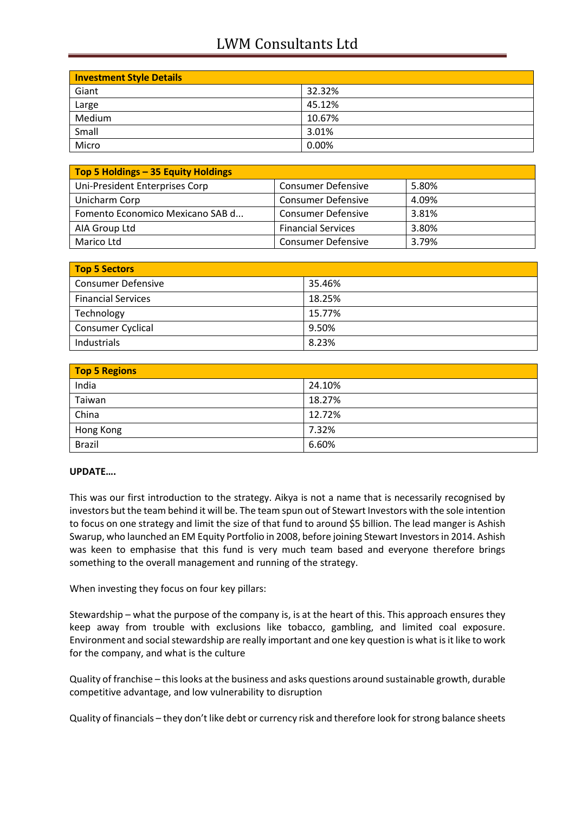## LWM Consultants Ltd

| <b>Investment Style Details</b> |        |
|---------------------------------|--------|
| Giant                           | 32.32% |
| Large                           | 45.12% |
| Medium                          | 10.67% |
| Small                           | 3.01%  |
| Micro                           | 0.00%  |

| Top 5 Holdings - 35 Equity Holdings |                           |       |
|-------------------------------------|---------------------------|-------|
| Uni-President Enterprises Corp      | <b>Consumer Defensive</b> | 5.80% |
| Unicharm Corp                       | <b>Consumer Defensive</b> | 4.09% |
| Fomento Economico Mexicano SAB d    | <b>Consumer Defensive</b> | 3.81% |
| AIA Group Ltd                       | <b>Financial Services</b> | 3.80% |
| Marico Ltd                          | <b>Consumer Defensive</b> | 3.79% |

| <b>Top 5 Sectors</b>      |        |
|---------------------------|--------|
| <b>Consumer Defensive</b> | 35.46% |
| <b>Financial Services</b> | 18.25% |
| Technology                | 15.77% |
| <b>Consumer Cyclical</b>  | 9.50%  |
| Industrials               | 8.23%  |

| <b>Top 5 Regions</b> |        |  |
|----------------------|--------|--|
| India                | 24.10% |  |
| Taiwan               | 18.27% |  |
| China                | 12.72% |  |
| Hong Kong            | 7.32%  |  |
| <b>Brazil</b>        | 6.60%  |  |

### **UPDATE….**

This was our first introduction to the strategy. Aikya is not a name that is necessarily recognised by investors but the team behind it will be. The team spun out of Stewart Investors with the sole intention to focus on one strategy and limit the size of that fund to around \$5 billion. The lead manger is Ashish Swarup, who launched an EM Equity Portfolio in 2008, before joining Stewart Investors in 2014. Ashish was keen to emphasise that this fund is very much team based and everyone therefore brings something to the overall management and running of the strategy.

When investing they focus on four key pillars:

Stewardship – what the purpose of the company is, is at the heart of this. This approach ensures they keep away from trouble with exclusions like tobacco, gambling, and limited coal exposure. Environment and social stewardship are really important and one key question is what is it like to work for the company, and what is the culture

Quality of franchise – this looks at the business and asks questions around sustainable growth, durable competitive advantage, and low vulnerability to disruption

Quality of financials – they don't like debt or currency risk and therefore look for strong balance sheets